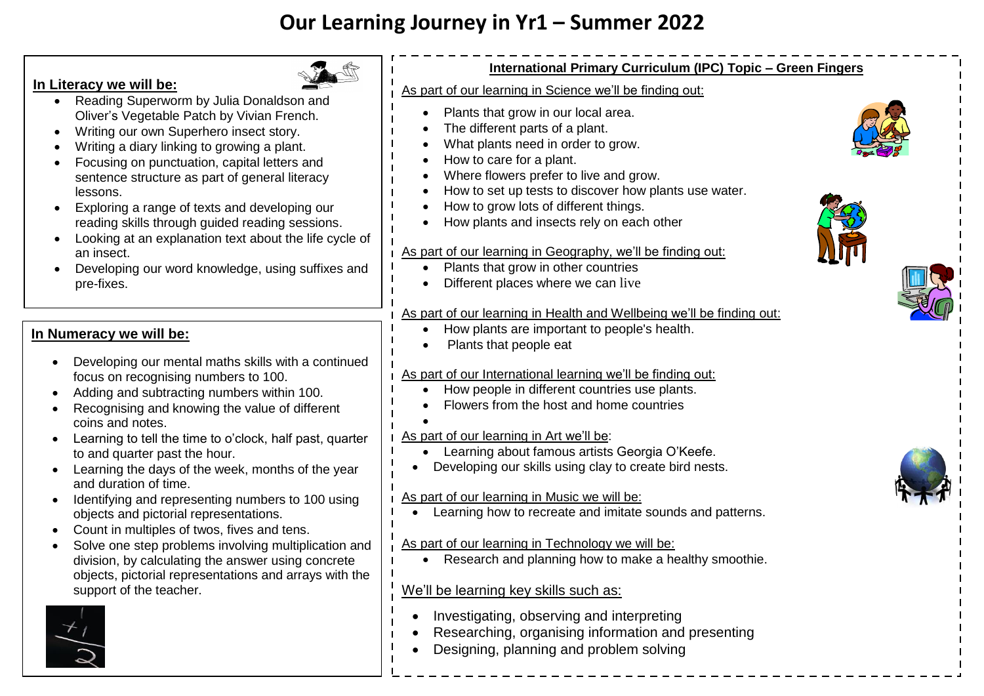# **Our Learning Journey in Yr1 – Summer 2022**

## **In Literacy we will be:**

- Reading Superworm by Julia Donaldson and Oliver's Vegetable Patch by Vivian French.
- Writing our own Superhero insect story.
- Writing a diary linking to growing a plant.
- Focusing on punctuation, capital letters and sentence structure as part of general literacy lessons.
- Exploring a range of texts and developing our reading skills through guided reading sessions.
- Looking at an explanation text about the life cycle of an insect.
- Developing our word knowledge, using suffixes and pre-fixes.

## **In Numeracy we will be:**

- Developing our mental maths skills with a continued focus on recognising numbers to 100.
- Adding and subtracting numbers within 100.
- Recognising and knowing the value of different coins and notes.
- Learning to tell the time to o'clock, half past, quarter to and quarter past the hour.
- Learning the days of the week, months of the year and duration of time.
- Identifying and representing numbers to 100 using objects and pictorial representations.
- Count in multiples of twos, fives and tens.
- Solve one step problems involving multiplication and division, by calculating the answer using concrete objects, pictorial representations and arrays with the support of the teacher.





## **International Primary Curriculum (IPC) Topic – Green Fingers**

As part of our learning in Science we'll be finding out:

- Plants that grow in our local area.
- The different parts of a plant.
- What plants need in order to grow.
- How to care for a plant.
- Where flowers prefer to live and grow.
- How to set up tests to discover how plants use water.
- How to grow lots of different things.
- How plants and insects rely on each other

#### As part of our learning in Geography, we'll be finding out:

- Plants that grow in other countries
- Different places where we can live

## As part of our learning in Health and Wellbeing we'll be finding out:

- $\bullet$  How plants are important to people's health.
- Plants that people eat

## As part of our International learning we'll be finding out:

- How people in different countries use plants.
- Flowers from the host and home countries

#### $\bullet$ As part of our learning in Art we'll be:

- Learning about famous artists Georgia O'Keefe.
- Developing our skills using clay to create bird nests.

## As part of our learning in Music we will be:

Learning how to recreate and imitate sounds and patterns.

## As part of our learning in Technology we will be:

• Research and planning how to make a healthy smoothie.

## We'll be learning key skills such as:

- Investigating, observing and interpreting
- Researching, organising information and presenting
- Designing, planning and problem solving